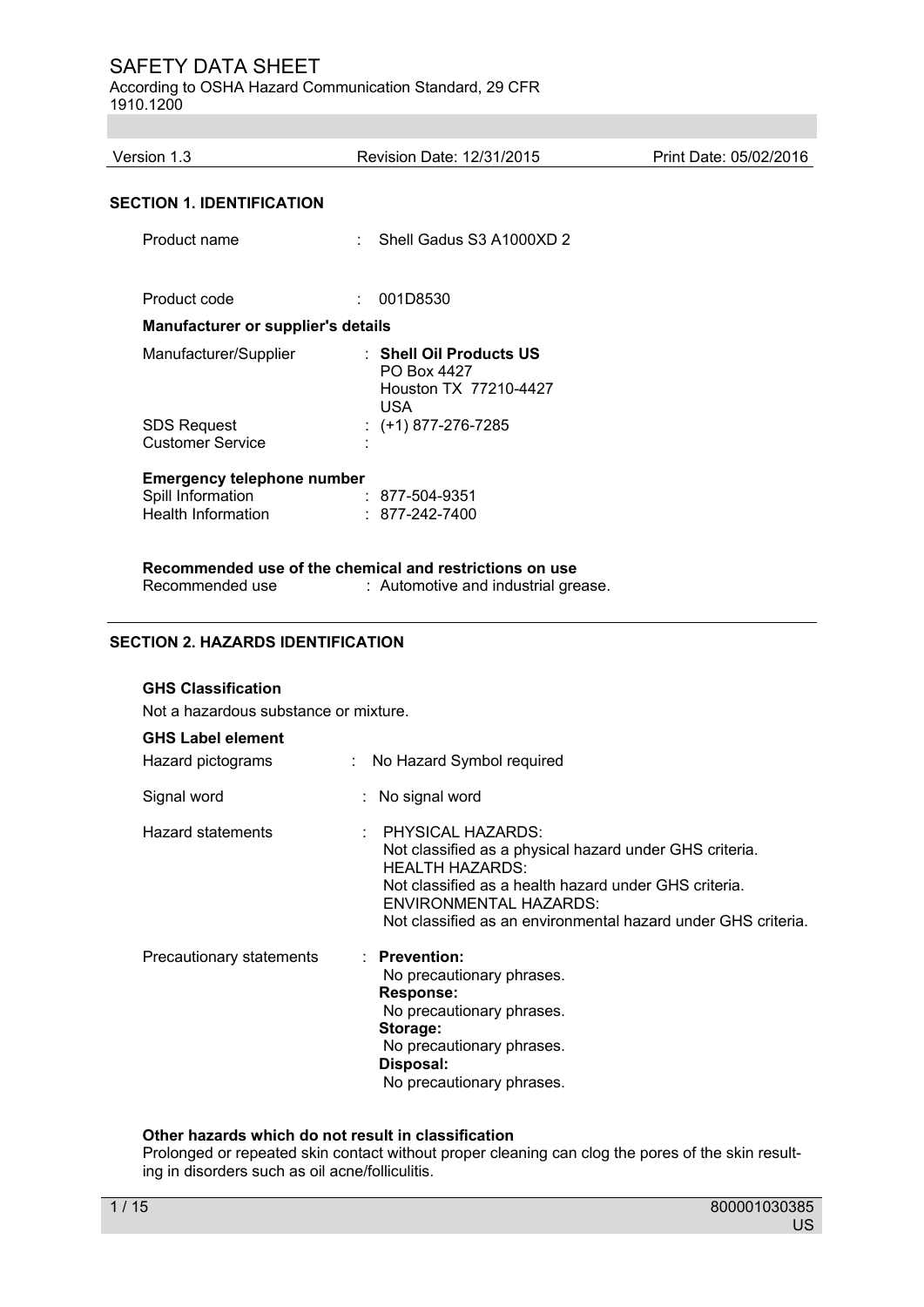According to OSHA Hazard Communication Standard, 29 CFR 1910.1200

Version 1.3 Revision Date: 12/31/2015 Print Date: 05/02/2016 **SECTION 1. IDENTIFICATION**  Product name : Shell Gadus S3 A1000XD 2 Product code : 001D8530 **Manufacturer or supplier's details**  Manufacturer/Supplier : **Shell Oil Products US** PO Box 4427 Houston TX 77210-4427 USA SDS Request : (+1) 877-276-7285 Customer Service : **Emergency telephone number**<br>Spill Information  $: 877-504-9351$ Health Information : 877-242-7400 **Recommended use of the chemical and restrictions on use**  : Automotive and industrial grease.

# **SECTION 2. HAZARDS IDENTIFICATION**

#### **GHS Classification**

Not a hazardous substance or mixture.

# **GHS Label element**

| Hazard pictograms        | : No Hazard Symbol required                                                                                                                                                                                                                                      |
|--------------------------|------------------------------------------------------------------------------------------------------------------------------------------------------------------------------------------------------------------------------------------------------------------|
| Signal word              | : No signal word                                                                                                                                                                                                                                                 |
| <b>Hazard statements</b> | $\pm$ PHYSICAL HAZARDS:<br>Not classified as a physical hazard under GHS criteria.<br>HEALTH HAZARDS:<br>Not classified as a health hazard under GHS criteria.<br><b>ENVIRONMENTAL HAZARDS:</b><br>Not classified as an environmental hazard under GHS criteria. |
| Precautionary statements | $:$ Prevention:<br>No precautionary phrases.<br>Response:<br>No precautionary phrases.<br>Storage:<br>No precautionary phrases.<br>Disposal:<br>No precautionary phrases.                                                                                        |

#### **Other hazards which do not result in classification**

Prolonged or repeated skin contact without proper cleaning can clog the pores of the skin resulting in disorders such as oil acne/folliculitis.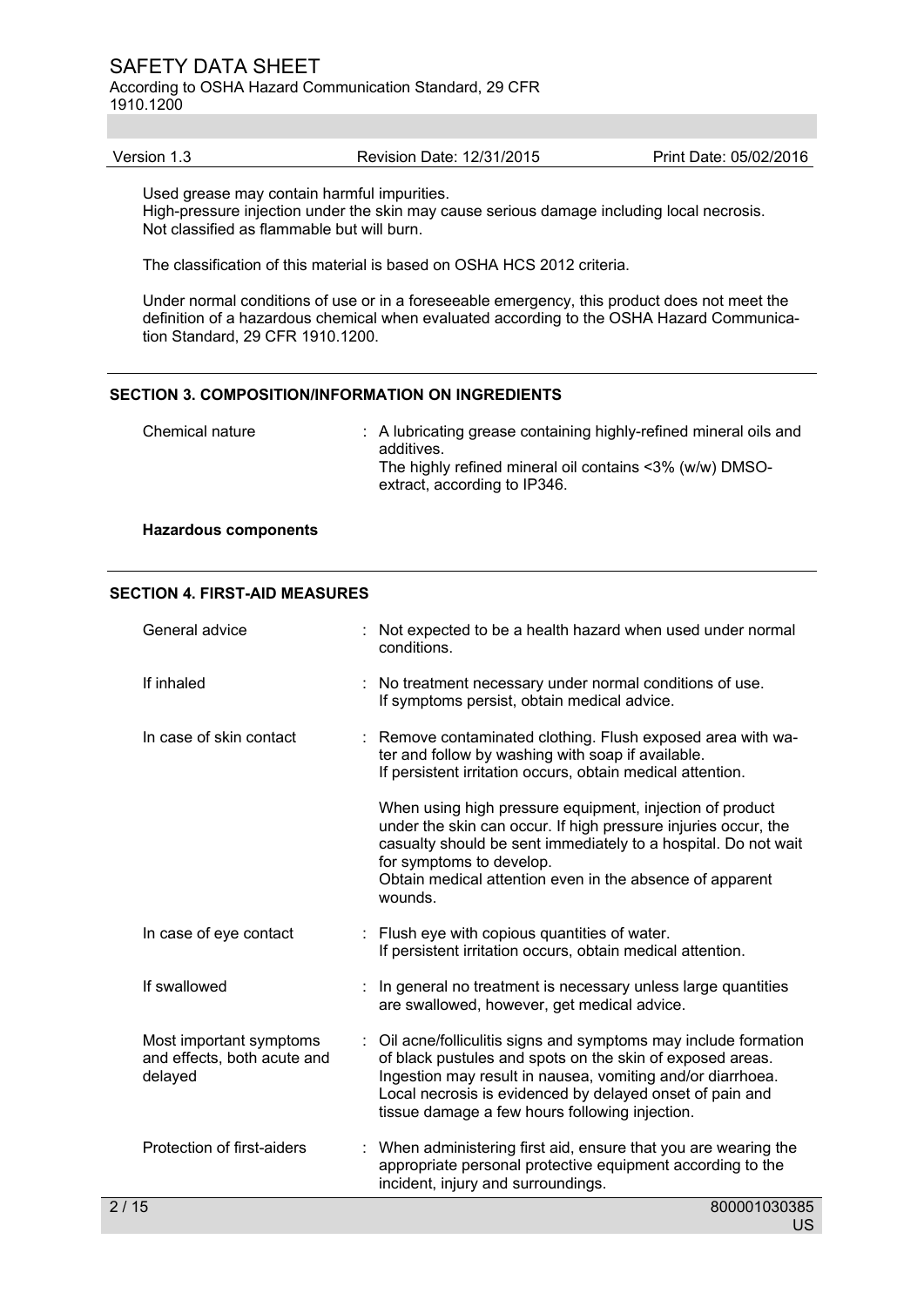According to OSHA Hazard Communication Standard, 29 CFR 1910.1200

| Print Date: 05/02/2016<br>Revision Date: 12/31/2015<br>Version 1.3 |  |
|--------------------------------------------------------------------|--|
|--------------------------------------------------------------------|--|

Used grease may contain harmful impurities.

High-pressure injection under the skin may cause serious damage including local necrosis. Not classified as flammable but will burn.

The classification of this material is based on OSHA HCS 2012 criteria.

Under normal conditions of use or in a foreseeable emergency, this product does not meet the definition of a hazardous chemical when evaluated according to the OSHA Hazard Communication Standard, 29 CFR 1910.1200.

#### **SECTION 3. COMPOSITION/INFORMATION ON INGREDIENTS**

| Chemical nature | : A lubricating grease containing highly-refined mineral oils and<br>additives.<br>The highly refined mineral oil contains <3% (w/w) DMSO-<br>extract, according to IP346. |
|-----------------|----------------------------------------------------------------------------------------------------------------------------------------------------------------------------|
|                 |                                                                                                                                                                            |

# **Hazardous components**

#### **SECTION 4. FIRST-AID MEASURES**

|                     | General advice                                                    | Not expected to be a health hazard when used under normal<br>conditions.                                                                                                                                                                                                                                |
|---------------------|-------------------------------------------------------------------|---------------------------------------------------------------------------------------------------------------------------------------------------------------------------------------------------------------------------------------------------------------------------------------------------------|
|                     | If inhaled                                                        | : No treatment necessary under normal conditions of use.<br>If symptoms persist, obtain medical advice.                                                                                                                                                                                                 |
|                     | In case of skin contact                                           | : Remove contaminated clothing. Flush exposed area with wa-<br>ter and follow by washing with soap if available.<br>If persistent irritation occurs, obtain medical attention.                                                                                                                          |
|                     |                                                                   | When using high pressure equipment, injection of product<br>under the skin can occur. If high pressure injuries occur, the<br>casualty should be sent immediately to a hospital. Do not wait<br>for symptoms to develop.<br>Obtain medical attention even in the absence of apparent<br>wounds.         |
|                     | In case of eye contact                                            | : Flush eye with copious quantities of water.<br>If persistent irritation occurs, obtain medical attention.                                                                                                                                                                                             |
|                     | If swallowed                                                      | : In general no treatment is necessary unless large quantities<br>are swallowed, however, get medical advice.                                                                                                                                                                                           |
|                     | Most important symptoms<br>and effects, both acute and<br>delayed | Oil acne/folliculitis signs and symptoms may include formation<br>of black pustules and spots on the skin of exposed areas.<br>Ingestion may result in nausea, vomiting and/or diarrhoea.<br>Local necrosis is evidenced by delayed onset of pain and<br>tissue damage a few hours following injection. |
|                     | Protection of first-aiders                                        | : When administering first aid, ensure that you are wearing the<br>appropriate personal protective equipment according to the<br>incident, injury and surroundings.                                                                                                                                     |
| $\overline{2}$ / 15 |                                                                   | 800001030385                                                                                                                                                                                                                                                                                            |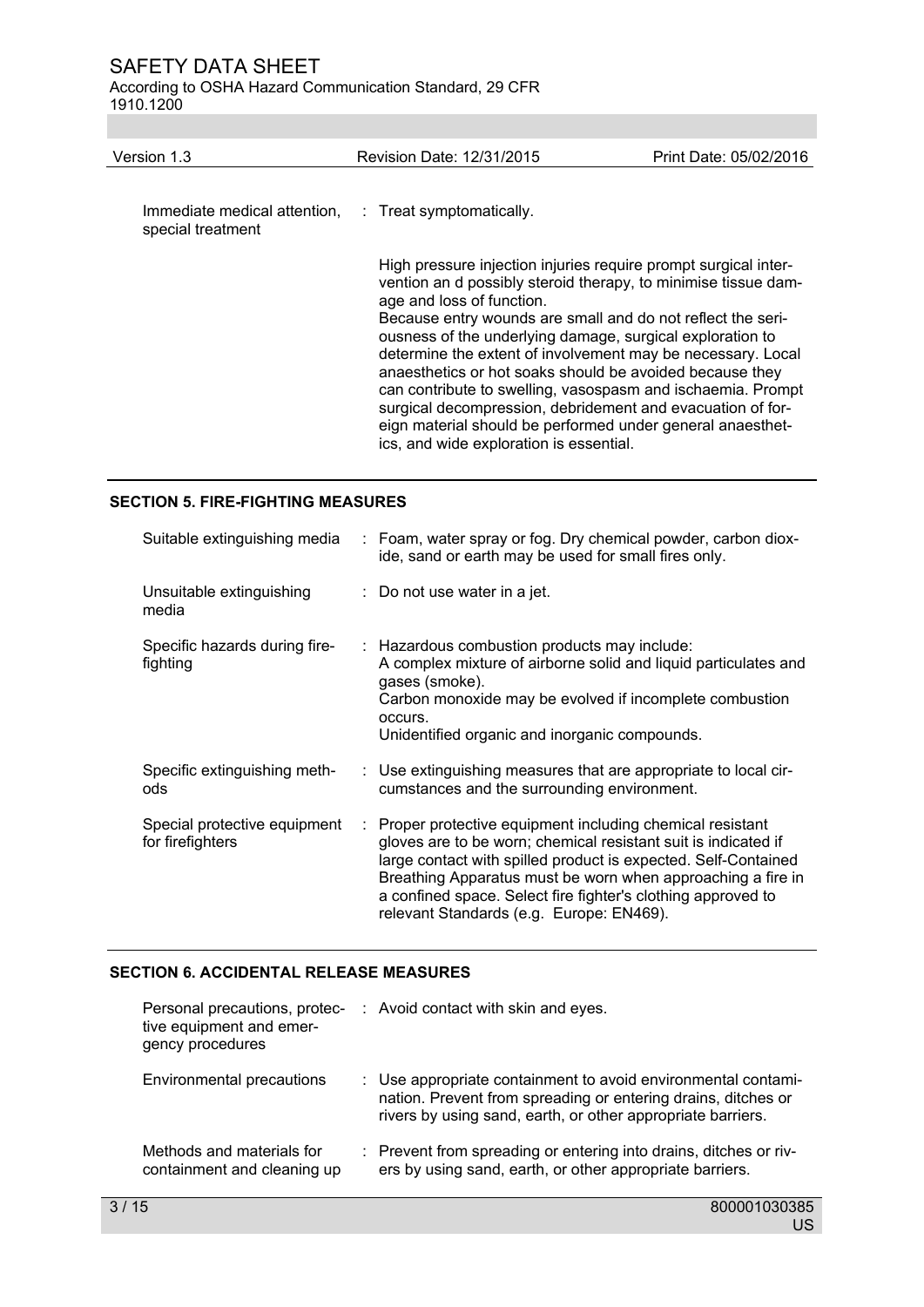According to OSHA Hazard Communication Standard, 29 CFR 1910.1200

| Version 1.3                                       | Revision Date: 12/31/2015                                                                                                                                                                                                                                                                                                                                                                                                                                                                                                                                                                                                                                   | Print Date: 05/02/2016 |
|---------------------------------------------------|-------------------------------------------------------------------------------------------------------------------------------------------------------------------------------------------------------------------------------------------------------------------------------------------------------------------------------------------------------------------------------------------------------------------------------------------------------------------------------------------------------------------------------------------------------------------------------------------------------------------------------------------------------------|------------------------|
| Immediate medical attention,<br>special treatment | : Treat symptomatically.                                                                                                                                                                                                                                                                                                                                                                                                                                                                                                                                                                                                                                    |                        |
|                                                   | High pressure injection injuries require prompt surgical inter-<br>vention an d possibly steroid therapy, to minimise tissue dam-<br>age and loss of function.<br>Because entry wounds are small and do not reflect the seri-<br>ousness of the underlying damage, surgical exploration to<br>determine the extent of involvement may be necessary. Local<br>anaesthetics or hot soaks should be avoided because they<br>can contribute to swelling, vasospasm and ischaemia. Prompt<br>surgical decompression, debridement and evacuation of for-<br>eign material should be performed under general anaesthet-<br>ics, and wide exploration is essential. |                        |

# **SECTION 5. FIRE-FIGHTING MEASURES**

| Suitable extinguishing media                     |   | : Foam, water spray or fog. Dry chemical powder, carbon diox-<br>ide, sand or earth may be used for small fires only.                                                                                                                                                                                                                                                   |
|--------------------------------------------------|---|-------------------------------------------------------------------------------------------------------------------------------------------------------------------------------------------------------------------------------------------------------------------------------------------------------------------------------------------------------------------------|
| Unsuitable extinguishing<br>media                |   | : Do not use water in a jet.                                                                                                                                                                                                                                                                                                                                            |
| Specific hazards during fire-<br>fighting        |   | : Hazardous combustion products may include:<br>A complex mixture of airborne solid and liquid particulates and<br>gases (smoke).<br>Carbon monoxide may be evolved if incomplete combustion<br>occurs.<br>Unidentified organic and inorganic compounds.                                                                                                                |
| Specific extinguishing meth-<br>ods              |   | : Use extinguishing measures that are appropriate to local cir-<br>cumstances and the surrounding environment.                                                                                                                                                                                                                                                          |
| Special protective equipment<br>for firefighters | ÷ | Proper protective equipment including chemical resistant<br>gloves are to be worn; chemical resistant suit is indicated if<br>large contact with spilled product is expected. Self-Contained<br>Breathing Apparatus must be worn when approaching a fire in<br>a confined space. Select fire fighter's clothing approved to<br>relevant Standards (e.g. Europe: EN469). |

# **SECTION 6. ACCIDENTAL RELEASE MEASURES**

| Personal precautions, protec-<br>tive equipment and emer-<br>gency procedures | : Avoid contact with skin and eyes.                                                                                                                                                           |
|-------------------------------------------------------------------------------|-----------------------------------------------------------------------------------------------------------------------------------------------------------------------------------------------|
| Environmental precautions                                                     | : Use appropriate containment to avoid environmental contami-<br>nation. Prevent from spreading or entering drains, ditches or<br>rivers by using sand, earth, or other appropriate barriers. |
| Methods and materials for<br>containment and cleaning up                      | : Prevent from spreading or entering into drains, ditches or riv-<br>ers by using sand, earth, or other appropriate barriers.                                                                 |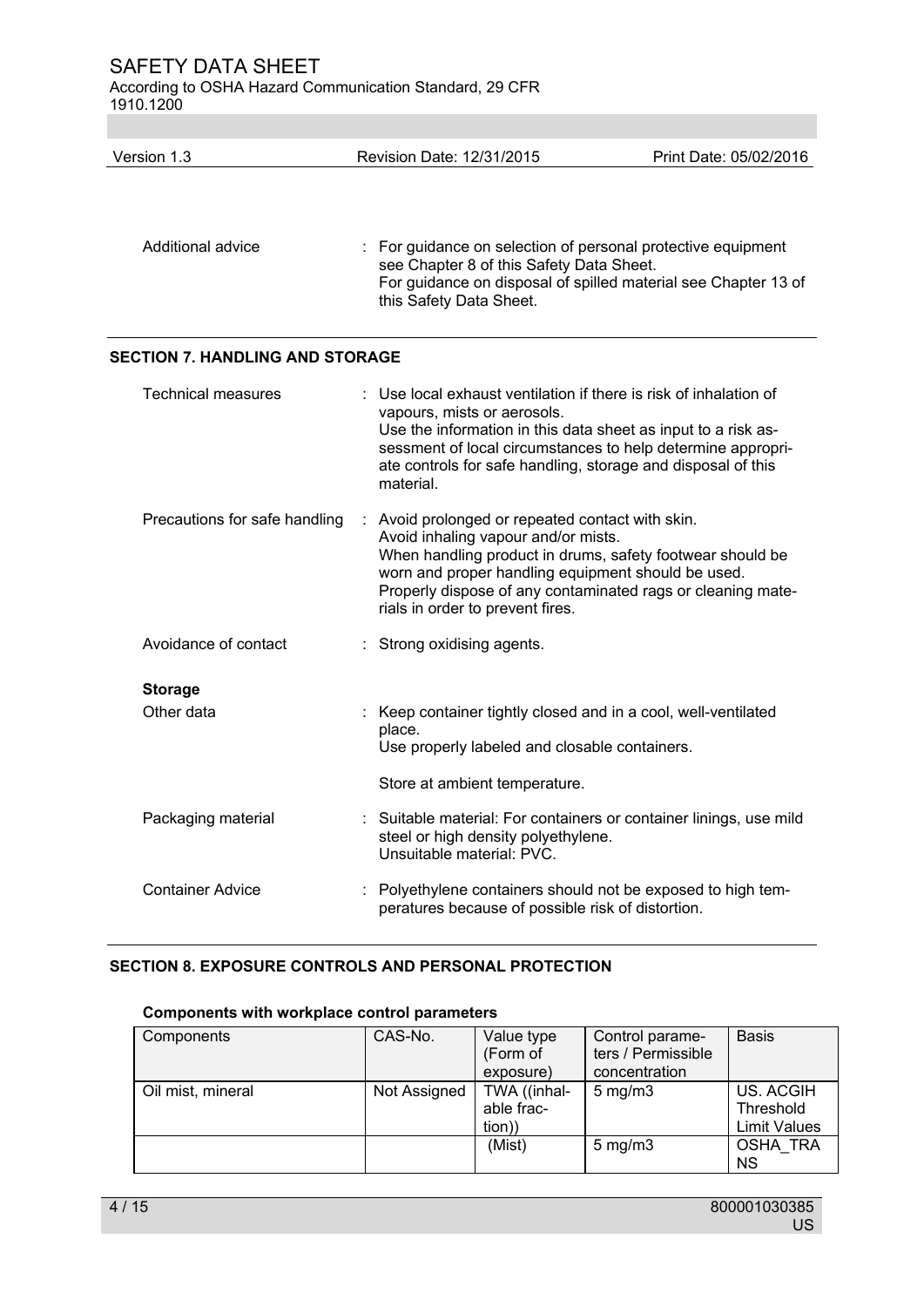According to OSHA Hazard Communication Standard, 29 CFR 1910.1200

Version 1.3 Revision Date: 12/31/2015 Print Date: 05/02/2016 Additional advice : For guidance on selection of personal protective equipment see Chapter 8 of this Safety Data Sheet. For guidance on disposal of spilled material see Chapter 13 of this Safety Data Sheet.

# **SECTION 7. HANDLING AND STORAGE**

| <b>Technical measures</b>     | $\therefore$ Use local exhaust ventilation if there is risk of inhalation of<br>vapours, mists or aerosols.<br>Use the information in this data sheet as input to a risk as-<br>sessment of local circumstances to help determine appropri-<br>ate controls for safe handling, storage and disposal of this<br>material. |
|-------------------------------|--------------------------------------------------------------------------------------------------------------------------------------------------------------------------------------------------------------------------------------------------------------------------------------------------------------------------|
| Precautions for safe handling | : Avoid prolonged or repeated contact with skin.<br>Avoid inhaling vapour and/or mists.<br>When handling product in drums, safety footwear should be<br>worn and proper handling equipment should be used.<br>Properly dispose of any contaminated rags or cleaning mate-<br>rials in order to prevent fires.            |
| Avoidance of contact          | : Strong oxidising agents.                                                                                                                                                                                                                                                                                               |
| <b>Storage</b><br>Other data  | : Keep container tightly closed and in a cool, well-ventilated<br>place.<br>Use properly labeled and closable containers.                                                                                                                                                                                                |
|                               | Store at ambient temperature.                                                                                                                                                                                                                                                                                            |
| Packaging material            | Suitable material: For containers or container linings, use mild<br>steel or high density polyethylene.<br>Unsuitable material: PVC.                                                                                                                                                                                     |
| <b>Container Advice</b>       | Polyethylene containers should not be exposed to high tem-<br>peratures because of possible risk of distortion.                                                                                                                                                                                                          |

# **SECTION 8. EXPOSURE CONTROLS AND PERSONAL PROTECTION**

# **Components with workplace control parameters**

| Components        | CAS-No.      | Value type<br>(Form of<br>exposure)  | Control parame-<br>ters / Permissible<br>concentration | <b>Basis</b>                                  |
|-------------------|--------------|--------------------------------------|--------------------------------------------------------|-----------------------------------------------|
| Oil mist, mineral | Not Assigned | TWA ((inhal-<br>able frac-<br>tion)) | $5$ mg/m $3$                                           | US. ACGIH<br>Threshold<br><b>Limit Values</b> |
|                   |              | (Mist)                               | $5 \text{ mg/m}$                                       | <b>OSHA TRA</b><br><b>NS</b>                  |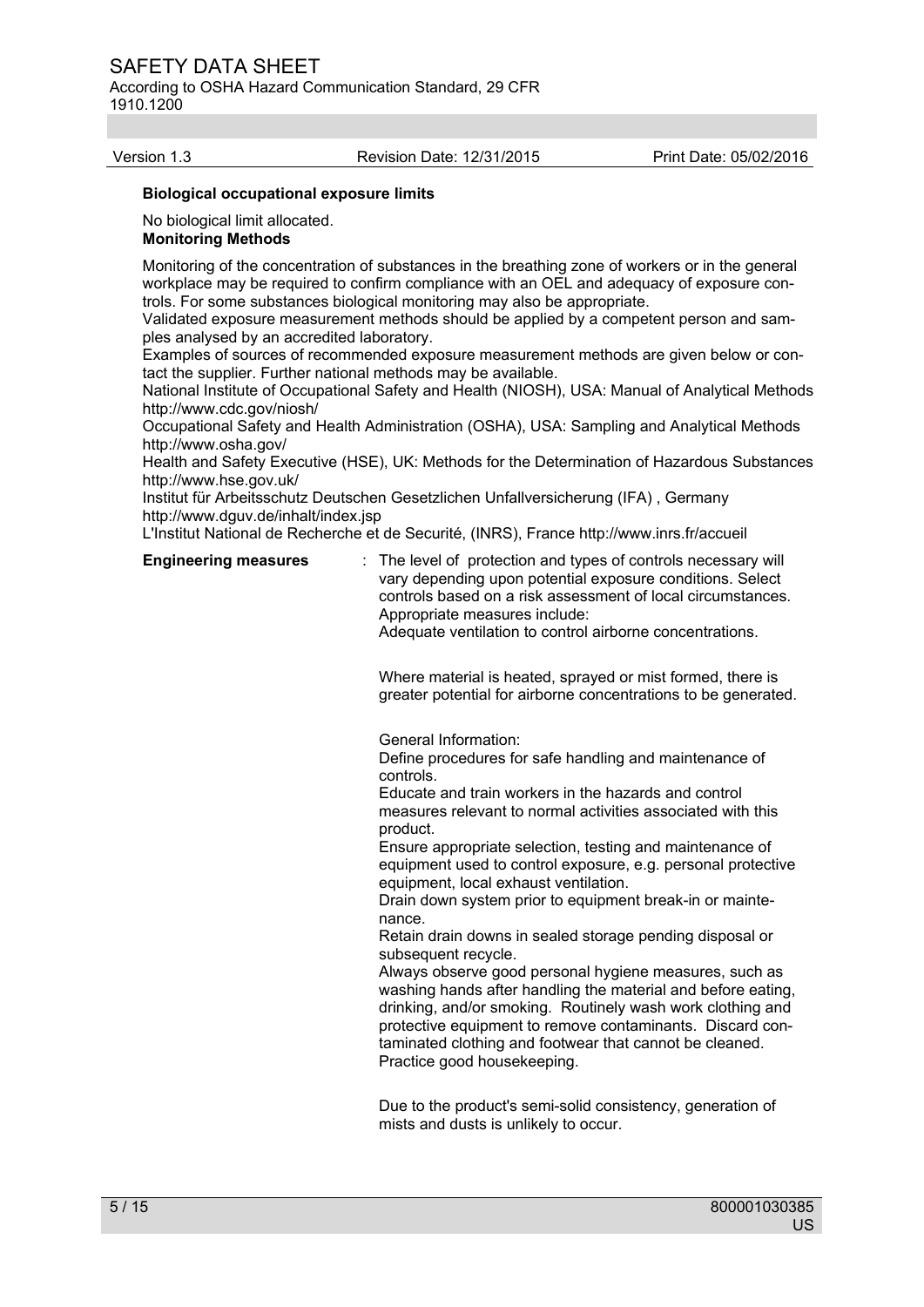According to OSHA Hazard Communication Standard, 29 CFR 1910.1200

#### Version 1.3 Revision Date: 12/31/2015 Print Date: 05/02/2016

#### **Biological occupational exposure limits**

No biological limit allocated.

#### **Monitoring Methods**

Monitoring of the concentration of substances in the breathing zone of workers or in the general workplace may be required to confirm compliance with an OEL and adequacy of exposure controls. For some substances biological monitoring may also be appropriate.

Validated exposure measurement methods should be applied by a competent person and samples analysed by an accredited laboratory.

Examples of sources of recommended exposure measurement methods are given below or contact the supplier. Further national methods may be available.

National Institute of Occupational Safety and Health (NIOSH), USA: Manual of Analytical Methods http://www.cdc.gov/niosh/

Occupational Safety and Health Administration (OSHA), USA: Sampling and Analytical Methods http://www.osha.gov/

Health and Safety Executive (HSE), UK: Methods for the Determination of Hazardous Substances http://www.hse.gov.uk/

Institut für Arbeitsschutz Deutschen Gesetzlichen Unfallversicherung (IFA) , Germany http://www.dguv.de/inhalt/index.jsp

L'Institut National de Recherche et de Securité, (INRS), France http://www.inrs.fr/accueil

**Engineering measures** : The level of protection and types of controls necessary will vary depending upon potential exposure conditions. Select controls based on a risk assessment of local circumstances. Appropriate measures include:

Adequate ventilation to control airborne concentrations.

Where material is heated, sprayed or mist formed, there is greater potential for airborne concentrations to be generated.

General Information:

Define procedures for safe handling and maintenance of controls.

Educate and train workers in the hazards and control measures relevant to normal activities associated with this product.

Ensure appropriate selection, testing and maintenance of equipment used to control exposure, e.g. personal protective equipment, local exhaust ventilation.

Drain down system prior to equipment break-in or maintenance.

Retain drain downs in sealed storage pending disposal or subsequent recycle.

Always observe good personal hygiene measures, such as washing hands after handling the material and before eating, drinking, and/or smoking. Routinely wash work clothing and protective equipment to remove contaminants. Discard contaminated clothing and footwear that cannot be cleaned. Practice good housekeeping.

 Due to the product's semi-solid consistency, generation of mists and dusts is unlikely to occur.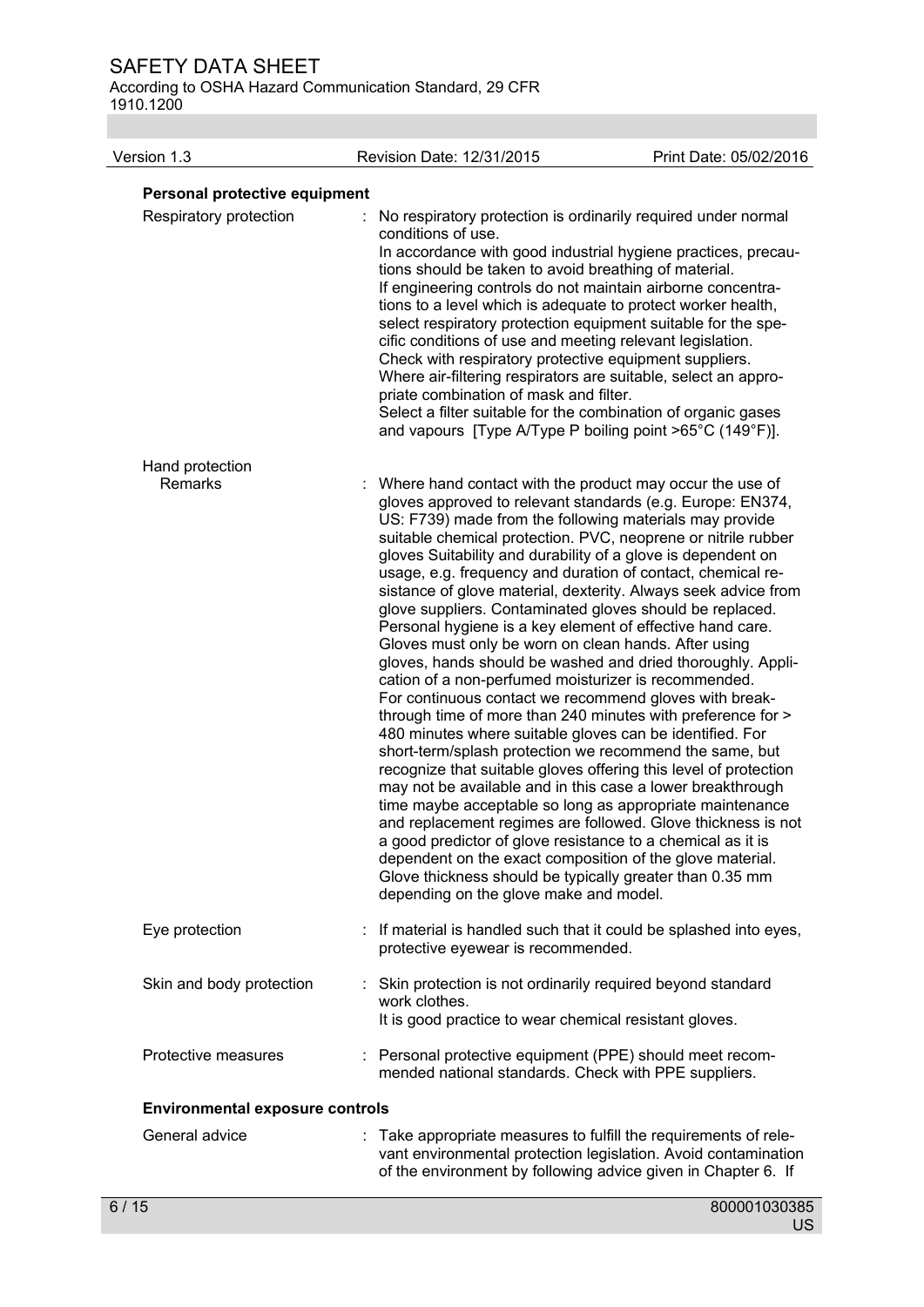According to OSHA Hazard Communication Standard, 29 CFR 1910.1200

| Version 1.3                            | Revision Date: 12/31/2015                                                                                                                                                                                                                                                                                                                                                                                                                                                                                                                                                                                                                                                                                                                                                                                                                                                                                                                                                                                                                                                                                                                                                                                                                                                                                  | Print Date: 05/02/2016                                                                                                                                                                        |
|----------------------------------------|------------------------------------------------------------------------------------------------------------------------------------------------------------------------------------------------------------------------------------------------------------------------------------------------------------------------------------------------------------------------------------------------------------------------------------------------------------------------------------------------------------------------------------------------------------------------------------------------------------------------------------------------------------------------------------------------------------------------------------------------------------------------------------------------------------------------------------------------------------------------------------------------------------------------------------------------------------------------------------------------------------------------------------------------------------------------------------------------------------------------------------------------------------------------------------------------------------------------------------------------------------------------------------------------------------|-----------------------------------------------------------------------------------------------------------------------------------------------------------------------------------------------|
| Personal protective equipment          |                                                                                                                                                                                                                                                                                                                                                                                                                                                                                                                                                                                                                                                                                                                                                                                                                                                                                                                                                                                                                                                                                                                                                                                                                                                                                                            |                                                                                                                                                                                               |
| Respiratory protection                 | No respiratory protection is ordinarily required under normal<br>conditions of use.<br>tions should be taken to avoid breathing of material.<br>If engineering controls do not maintain airborne concentra-<br>tions to a level which is adequate to protect worker health,<br>select respiratory protection equipment suitable for the spe-<br>cific conditions of use and meeting relevant legislation.<br>Check with respiratory protective equipment suppliers.<br>Where air-filtering respirators are suitable, select an appro-<br>priate combination of mask and filter.<br>Select a filter suitable for the combination of organic gases<br>and vapours [Type A/Type P boiling point >65°C (149°F)].                                                                                                                                                                                                                                                                                                                                                                                                                                                                                                                                                                                               | In accordance with good industrial hygiene practices, precau-                                                                                                                                 |
| Hand protection<br>Remarks             | Where hand contact with the product may occur the use of<br>gloves approved to relevant standards (e.g. Europe: EN374,<br>US: F739) made from the following materials may provide<br>suitable chemical protection. PVC, neoprene or nitrile rubber<br>gloves Suitability and durability of a glove is dependent on<br>usage, e.g. frequency and duration of contact, chemical re-<br>glove suppliers. Contaminated gloves should be replaced.<br>Personal hygiene is a key element of effective hand care.<br>Gloves must only be worn on clean hands. After using<br>cation of a non-perfumed moisturizer is recommended.<br>For continuous contact we recommend gloves with break-<br>through time of more than 240 minutes with preference for ><br>480 minutes where suitable gloves can be identified. For<br>short-term/splash protection we recommend the same, but<br>recognize that suitable gloves offering this level of protection<br>may not be available and in this case a lower breakthrough<br>time maybe acceptable so long as appropriate maintenance<br>a good predictor of glove resistance to a chemical as it is<br>dependent on the exact composition of the glove material.<br>Glove thickness should be typically greater than 0.35 mm<br>depending on the glove make and model. | sistance of glove material, dexterity. Always seek advice from<br>gloves, hands should be washed and dried thoroughly. Appli-<br>and replacement regimes are followed. Glove thickness is not |
| Eye protection                         | : If material is handled such that it could be splashed into eyes,<br>protective eyewear is recommended.                                                                                                                                                                                                                                                                                                                                                                                                                                                                                                                                                                                                                                                                                                                                                                                                                                                                                                                                                                                                                                                                                                                                                                                                   |                                                                                                                                                                                               |
| Skin and body protection               | : Skin protection is not ordinarily required beyond standard<br>work clothes.<br>It is good practice to wear chemical resistant gloves.                                                                                                                                                                                                                                                                                                                                                                                                                                                                                                                                                                                                                                                                                                                                                                                                                                                                                                                                                                                                                                                                                                                                                                    |                                                                                                                                                                                               |
| Protective measures                    | : Personal protective equipment (PPE) should meet recom-<br>mended national standards. Check with PPE suppliers.                                                                                                                                                                                                                                                                                                                                                                                                                                                                                                                                                                                                                                                                                                                                                                                                                                                                                                                                                                                                                                                                                                                                                                                           |                                                                                                                                                                                               |
| <b>Environmental exposure controls</b> |                                                                                                                                                                                                                                                                                                                                                                                                                                                                                                                                                                                                                                                                                                                                                                                                                                                                                                                                                                                                                                                                                                                                                                                                                                                                                                            |                                                                                                                                                                                               |
| General advice                         | Take appropriate measures to fulfill the requirements of rele-<br>of the environment by following advice given in Chapter 6. If                                                                                                                                                                                                                                                                                                                                                                                                                                                                                                                                                                                                                                                                                                                                                                                                                                                                                                                                                                                                                                                                                                                                                                            | vant environmental protection legislation. Avoid contamination                                                                                                                                |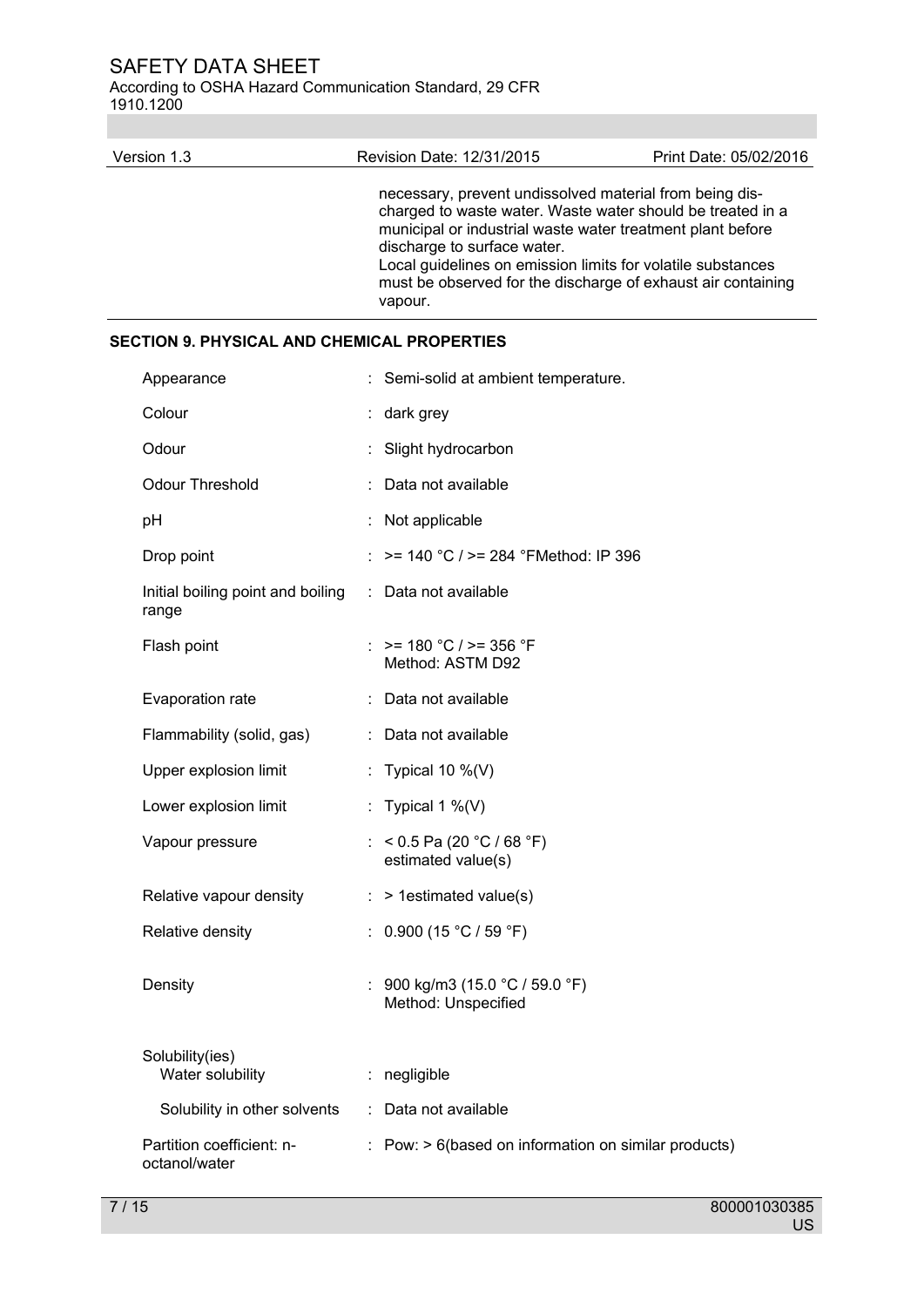According to OSHA Hazard Communication Standard, 29 CFR 1910.1200

| Version 1.3 | Revision Date: 12/31/2015                                                                                                                                                                                                                                                                                                                                    | Print Date: 05/02/2016 |
|-------------|--------------------------------------------------------------------------------------------------------------------------------------------------------------------------------------------------------------------------------------------------------------------------------------------------------------------------------------------------------------|------------------------|
|             | necessary, prevent undissolved material from being dis-<br>charged to waste water. Waste water should be treated in a<br>municipal or industrial waste water treatment plant before<br>discharge to surface water.<br>Local guidelines on emission limits for volatile substances<br>must be observed for the discharge of exhaust air containing<br>vapour. |                        |

# **SECTION 9. PHYSICAL AND CHEMICAL PROPERTIES**

| Appearance                                 | Semi-solid at ambient temperature.                   |
|--------------------------------------------|------------------------------------------------------|
| Colour                                     | : dark grey                                          |
| Odour                                      | Slight hydrocarbon<br>÷.                             |
| <b>Odour Threshold</b>                     | Data not available                                   |
| pH                                         | : Not applicable                                     |
| Drop point                                 | >= 140 °C / >= 284 °FMethod: IP 396                  |
| Initial boiling point and boiling<br>range | : Data not available                                 |
| Flash point                                | : $> = 180$ °C / $> = 356$ °F<br>Method: ASTM D92    |
| Evaporation rate                           | : Data not available                                 |
| Flammability (solid, gas)                  | : Data not available                                 |
| Upper explosion limit                      | : Typical 10 $\%$ (V)                                |
| Lower explosion limit                      | : Typical 1 $\%$ (V)                                 |
| Vapour pressure                            | : < 0.5 Pa (20 °C / 68 °F)<br>estimated value(s)     |
| Relative vapour density                    | > 1estimated value(s)<br>÷.                          |
| Relative density                           | 0.900 (15 °C / 59 °F)<br>$\mathbb{Z}^{\times}$       |
| Density                                    | 900 kg/m3 (15.0 °C / 59.0 °F)<br>Method: Unspecified |
| Solubility(ies)<br>Water solubility        | negligible                                           |
| Solubility in other solvents               | Data not available<br>÷                              |
| Partition coefficient: n-<br>octanol/water | Pow: > 6(based on information on similar products)   |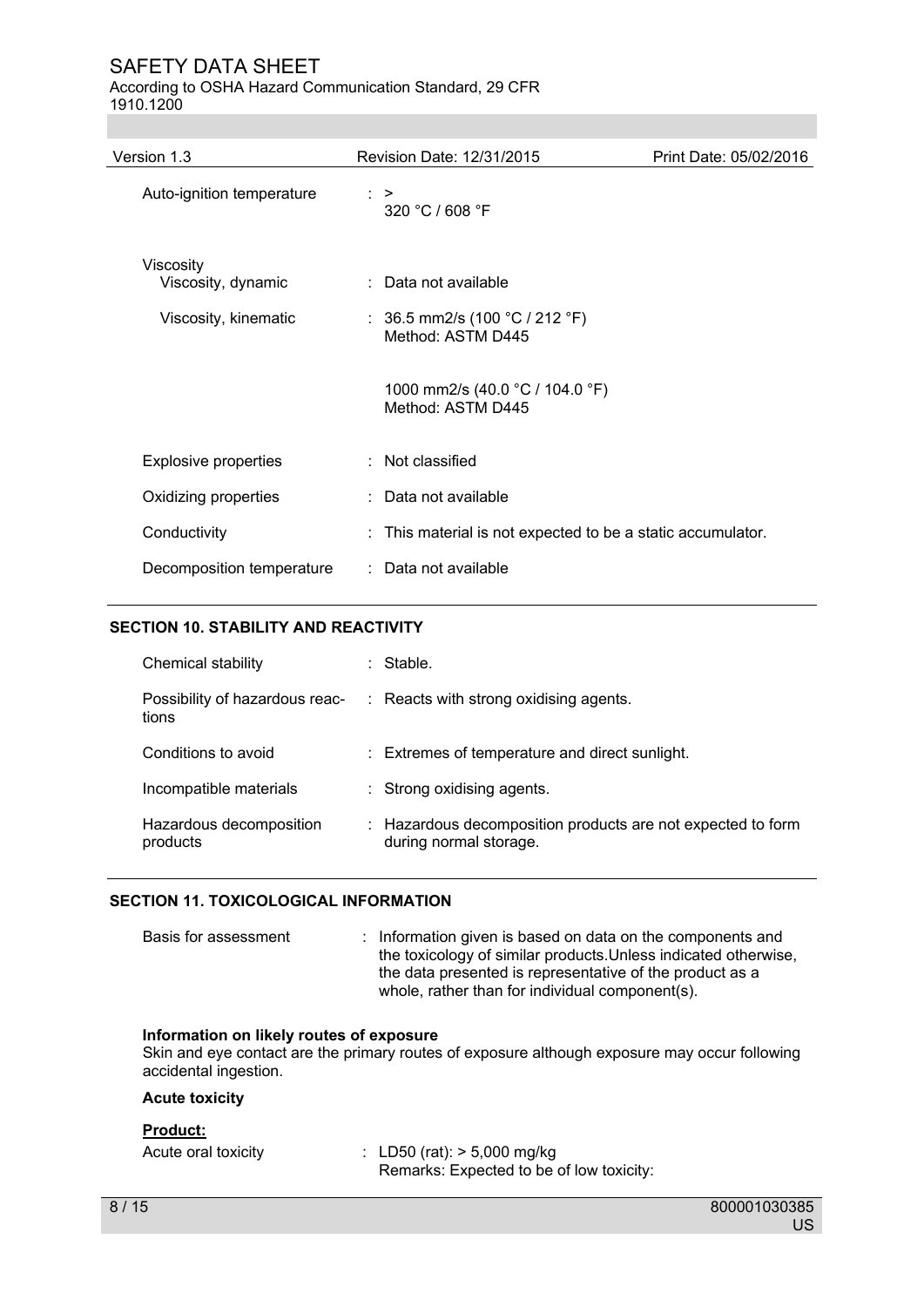#### According to OSHA Hazard Communication Standard, 29 CFR 1910.1200

| Version 1.3                     | Revision Date: 12/31/2015                                 | Print Date: 05/02/2016 |
|---------------------------------|-----------------------------------------------------------|------------------------|
| Auto-ignition temperature       | $\therefore$ ><br>320 °C / 608 °F                         |                        |
| Viscosity<br>Viscosity, dynamic | : Data not available                                      |                        |
| Viscosity, kinematic            | : 36.5 mm2/s (100 °C / 212 °F)<br>Method: ASTM D445       |                        |
|                                 | 1000 mm2/s (40.0 °C / 104.0 °F)<br>Method: ASTM D445      |                        |
| <b>Explosive properties</b>     | : Not classified                                          |                        |
| Oxidizing properties            | : Data not available                                      |                        |
| Conductivity                    | This material is not expected to be a static accumulator. |                        |
| Decomposition temperature       | : Data not available                                      |                        |

# **SECTION 10. STABILITY AND REACTIVITY**

| Chemical stability                      | Stable.                                                                               |
|-----------------------------------------|---------------------------------------------------------------------------------------|
| Possibility of hazardous reac-<br>tions | : Reacts with strong oxidising agents.                                                |
| Conditions to avoid                     | : Extremes of temperature and direct sunlight.                                        |
| Incompatible materials                  | : Strong oxidising agents.                                                            |
| Hazardous decomposition<br>products     | : Hazardous decomposition products are not expected to form<br>during normal storage. |

# **SECTION 11. TOXICOLOGICAL INFORMATION**

| whole, rather than for individual component(s). | Basis for assessment |  | : Information given is based on data on the components and<br>the toxicology of similar products. Unless indicated otherwise,<br>the data presented is representative of the product as a |
|-------------------------------------------------|----------------------|--|-------------------------------------------------------------------------------------------------------------------------------------------------------------------------------------------|
|-------------------------------------------------|----------------------|--|-------------------------------------------------------------------------------------------------------------------------------------------------------------------------------------------|

# **Information on likely routes of exposure**

Skin and eye contact are the primary routes of exposure although exposure may occur following accidental ingestion.

# **Acute toxicity**

## **Product:**

| Acute oral toxicity | : LD50 (rat): $> 5,000$ mg/kg |                                          |
|---------------------|-------------------------------|------------------------------------------|
|                     |                               | Remarks: Expected to be of low toxicity: |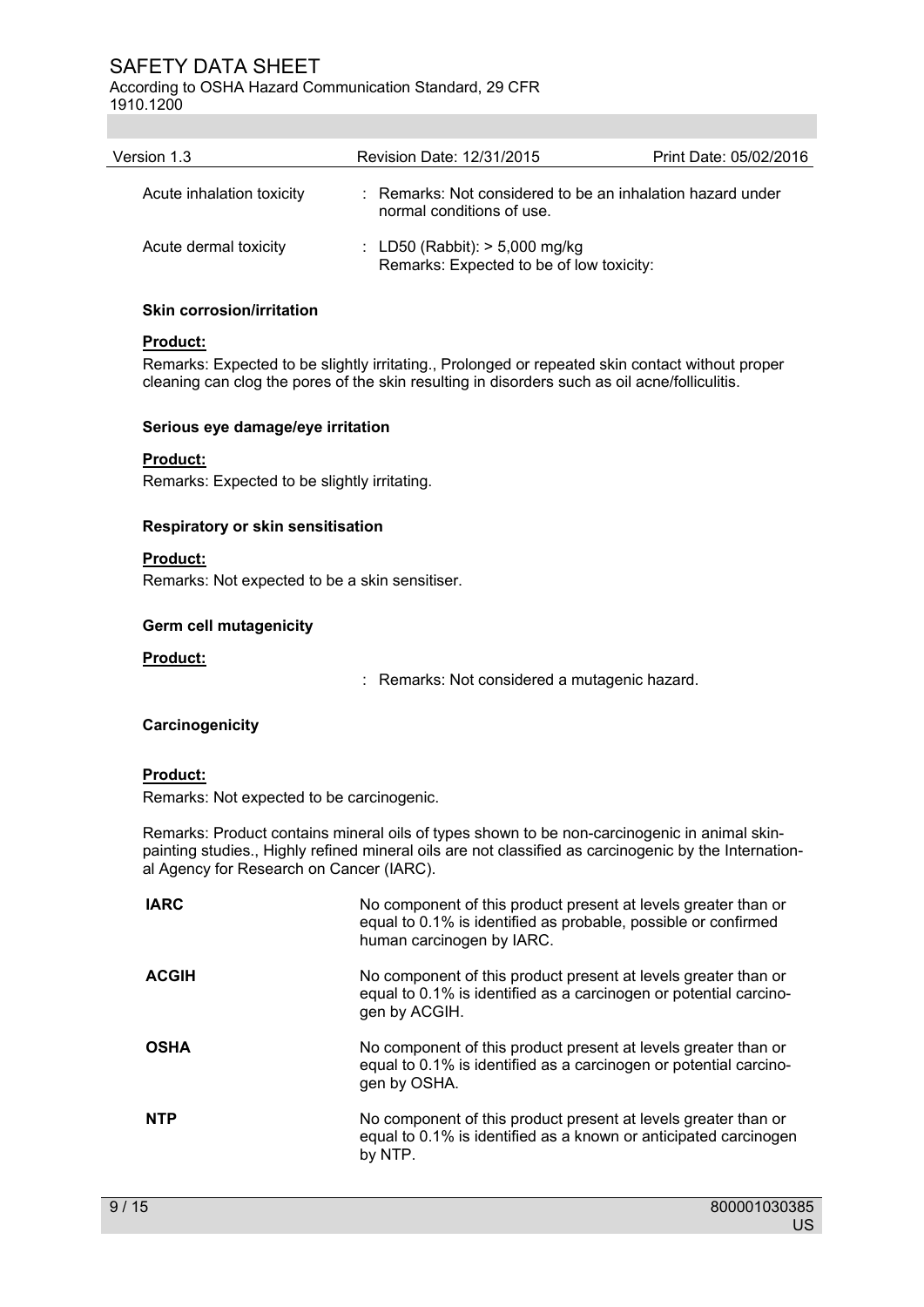According to OSHA Hazard Communication Standard, 29 CFR 1910.1200

| Version 1.3               | Revision Date: 12/31/2015        | Print Date: 05/02/2016                                     |  |
|---------------------------|----------------------------------|------------------------------------------------------------|--|
| Acute inhalation toxicity | normal conditions of use.        | : Remarks: Not considered to be an inhalation hazard under |  |
| Acute dermal toxicity     | : LD50 (Rabbit): $> 5,000$ mg/kg | Remarks: Expected to be of low toxicity:                   |  |

#### **Skin corrosion/irritation**

# **Product:**

Remarks: Expected to be slightly irritating., Prolonged or repeated skin contact without proper cleaning can clog the pores of the skin resulting in disorders such as oil acne/folliculitis.

#### **Serious eye damage/eye irritation**

# **Product:**

Remarks: Expected to be slightly irritating.

# **Respiratory or skin sensitisation**

**Product:** 

Remarks: Not expected to be a skin sensitiser.

# **Germ cell mutagenicity**

#### **Product:**

: Remarks: Not considered a mutagenic hazard.

# **Carcinogenicity**

# **Product:**

Remarks: Not expected to be carcinogenic.

Remarks: Product contains mineral oils of types shown to be non-carcinogenic in animal skinpainting studies., Highly refined mineral oils are not classified as carcinogenic by the International Agency for Research on Cancer (IARC).

| <b>IARC</b>  | No component of this product present at levels greater than or<br>equal to 0.1% is identified as probable, possible or confirmed<br>human carcinogen by IARC. |
|--------------|---------------------------------------------------------------------------------------------------------------------------------------------------------------|
| <b>ACGIH</b> | No component of this product present at levels greater than or<br>equal to 0.1% is identified as a carcinogen or potential carcino-<br>gen by ACGIH.          |
| <b>OSHA</b>  | No component of this product present at levels greater than or<br>equal to 0.1% is identified as a carcinogen or potential carcino-<br>gen by OSHA.           |
| <b>NTP</b>   | No component of this product present at levels greater than or<br>equal to 0.1% is identified as a known or anticipated carcinogen<br>by NTP.                 |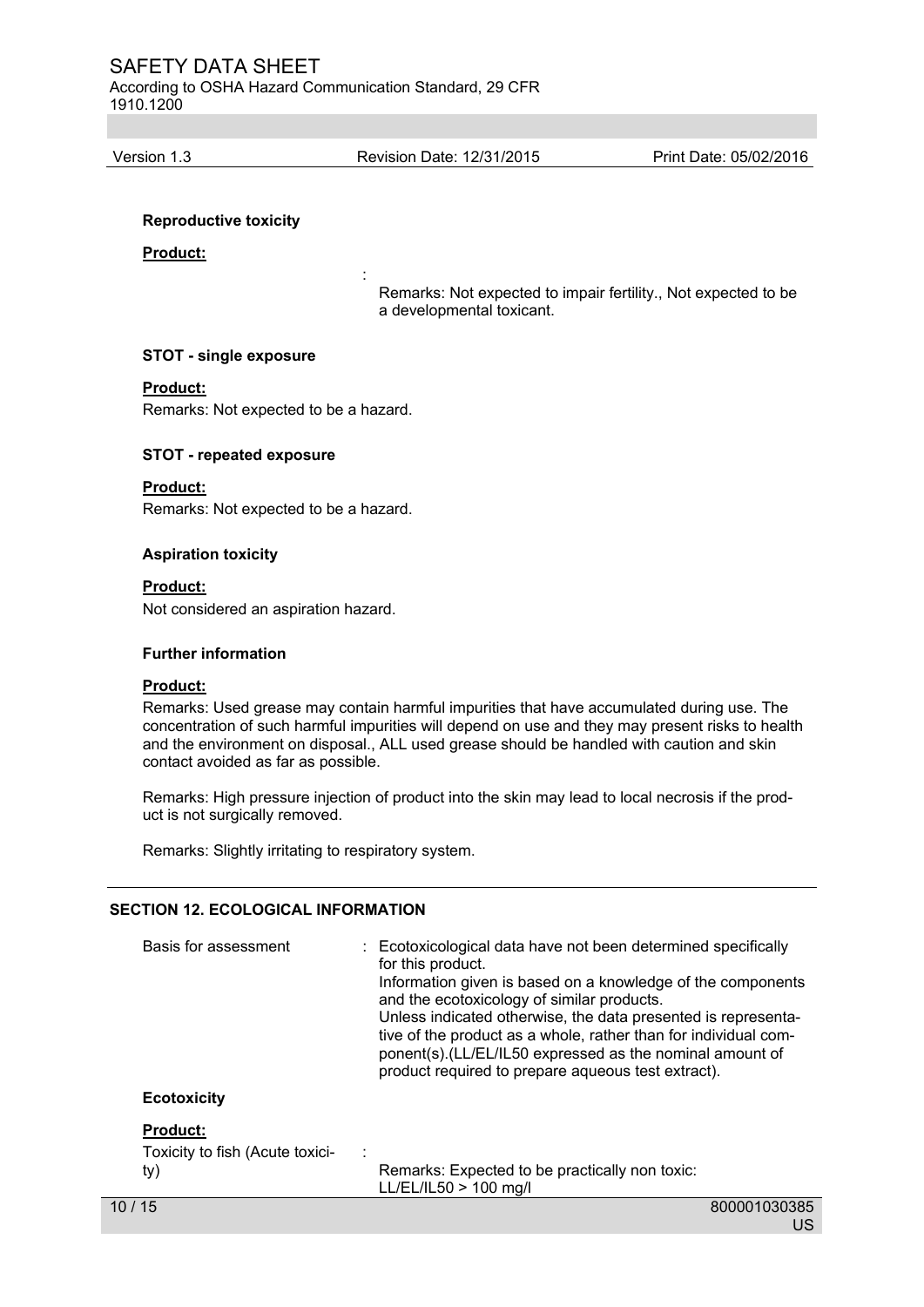According to OSHA Hazard Communication Standard, 29 CFR 1910.1200

Version 1.3 Revision Date: 12/31/2015 Print Date: 05/02/2016

#### **Reproductive toxicity**

#### **Product:**

Remarks: Not expected to impair fertility., Not expected to be a developmental toxicant.

#### **STOT - single exposure**

**Service State State State State** 

#### **Product:**

Remarks: Not expected to be a hazard.

# **STOT - repeated exposure**

**Product:** 

Remarks: Not expected to be a hazard.

#### **Aspiration toxicity**

**Product:** 

Not considered an aspiration hazard.

#### **Further information**

#### **Product:**

Remarks: Used grease may contain harmful impurities that have accumulated during use. The concentration of such harmful impurities will depend on use and they may present risks to health and the environment on disposal., ALL used grease should be handled with caution and skin contact avoided as far as possible.

Remarks: High pressure injection of product into the skin may lead to local necrosis if the product is not surgically removed.

Remarks: Slightly irritating to respiratory system.

# **SECTION 12. ECOLOGICAL INFORMATION**

| Basis for assessment            | : Ecotoxicological data have not been determined specifically<br>for this product.<br>Information given is based on a knowledge of the components<br>and the ecotoxicology of similar products.<br>Unless indicated otherwise, the data presented is representa-<br>tive of the product as a whole, rather than for individual com-<br>ponent(s).(LL/EL/IL50 expressed as the nominal amount of<br>product required to prepare aqueous test extract). |              |
|---------------------------------|-------------------------------------------------------------------------------------------------------------------------------------------------------------------------------------------------------------------------------------------------------------------------------------------------------------------------------------------------------------------------------------------------------------------------------------------------------|--------------|
| <b>Ecotoxicity</b>              |                                                                                                                                                                                                                                                                                                                                                                                                                                                       |              |
| <b>Product:</b>                 |                                                                                                                                                                                                                                                                                                                                                                                                                                                       |              |
| Toxicity to fish (Acute toxici- |                                                                                                                                                                                                                                                                                                                                                                                                                                                       |              |
| ty)                             | Remarks: Expected to be practically non toxic:<br>$LL/EL/IL50 > 100$ mg/l                                                                                                                                                                                                                                                                                                                                                                             |              |
| 10 / 15                         |                                                                                                                                                                                                                                                                                                                                                                                                                                                       | 800001030385 |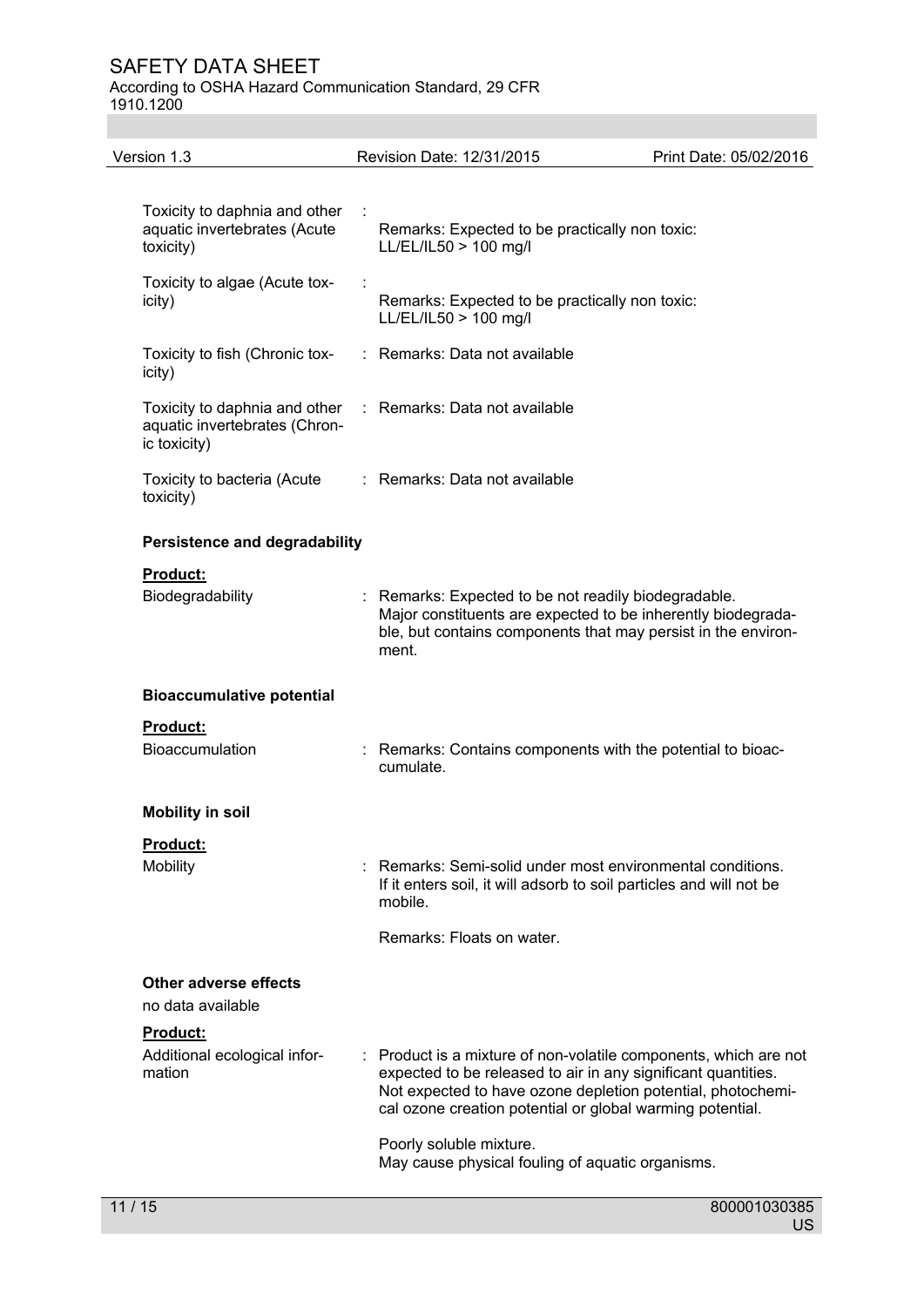According to OSHA Hazard Communication Standard, 29 CFR 1910.1200

| Version 1.3                                                                    | Revision Date: 12/31/2015                                                                                                                                                                                                                                     | Print Date: 05/02/2016 |
|--------------------------------------------------------------------------------|---------------------------------------------------------------------------------------------------------------------------------------------------------------------------------------------------------------------------------------------------------------|------------------------|
| Toxicity to daphnia and other<br>aquatic invertebrates (Acute<br>toxicity)     | Remarks: Expected to be practically non toxic:<br>LL/EL/IL50 > 100 mg/l                                                                                                                                                                                       |                        |
| Toxicity to algae (Acute tox-<br>icity)                                        | Remarks: Expected to be practically non toxic:<br>LL/EL/IL50 > 100 mg/l                                                                                                                                                                                       |                        |
| Toxicity to fish (Chronic tox-<br>icity)                                       | : Remarks: Data not available                                                                                                                                                                                                                                 |                        |
| Toxicity to daphnia and other<br>aquatic invertebrates (Chron-<br>ic toxicity) | : Remarks: Data not available                                                                                                                                                                                                                                 |                        |
| Toxicity to bacteria (Acute<br>toxicity)                                       | : Remarks: Data not available                                                                                                                                                                                                                                 |                        |
| <b>Persistence and degradability</b>                                           |                                                                                                                                                                                                                                                               |                        |
| <b>Product:</b>                                                                |                                                                                                                                                                                                                                                               |                        |
| Biodegradability                                                               | : Remarks: Expected to be not readily biodegradable.<br>Major constituents are expected to be inherently biodegrada-<br>ble, but contains components that may persist in the environ-<br>ment.                                                                |                        |
| <b>Bioaccumulative potential</b>                                               |                                                                                                                                                                                                                                                               |                        |
| Product:<br>Bioaccumulation                                                    | : Remarks: Contains components with the potential to bioac-<br>cumulate.                                                                                                                                                                                      |                        |
| <b>Mobility in soil</b>                                                        |                                                                                                                                                                                                                                                               |                        |
| Product:                                                                       |                                                                                                                                                                                                                                                               |                        |
| Mobility                                                                       | Remarks: Semi-solid under most environmental conditions.<br>If it enters soil, it will adsorb to soil particles and will not be<br>mobile.                                                                                                                    |                        |
|                                                                                | Remarks: Floats on water.                                                                                                                                                                                                                                     |                        |
| Other adverse effects<br>no data available                                     |                                                                                                                                                                                                                                                               |                        |
| <b>Product:</b><br>Additional ecological infor-<br>mation                      | : Product is a mixture of non-volatile components, which are not<br>expected to be released to air in any significant quantities.<br>Not expected to have ozone depletion potential, photochemi-<br>cal ozone creation potential or global warming potential. |                        |
|                                                                                | Poorly soluble mixture.<br>May cause physical fouling of aquatic organisms.                                                                                                                                                                                   |                        |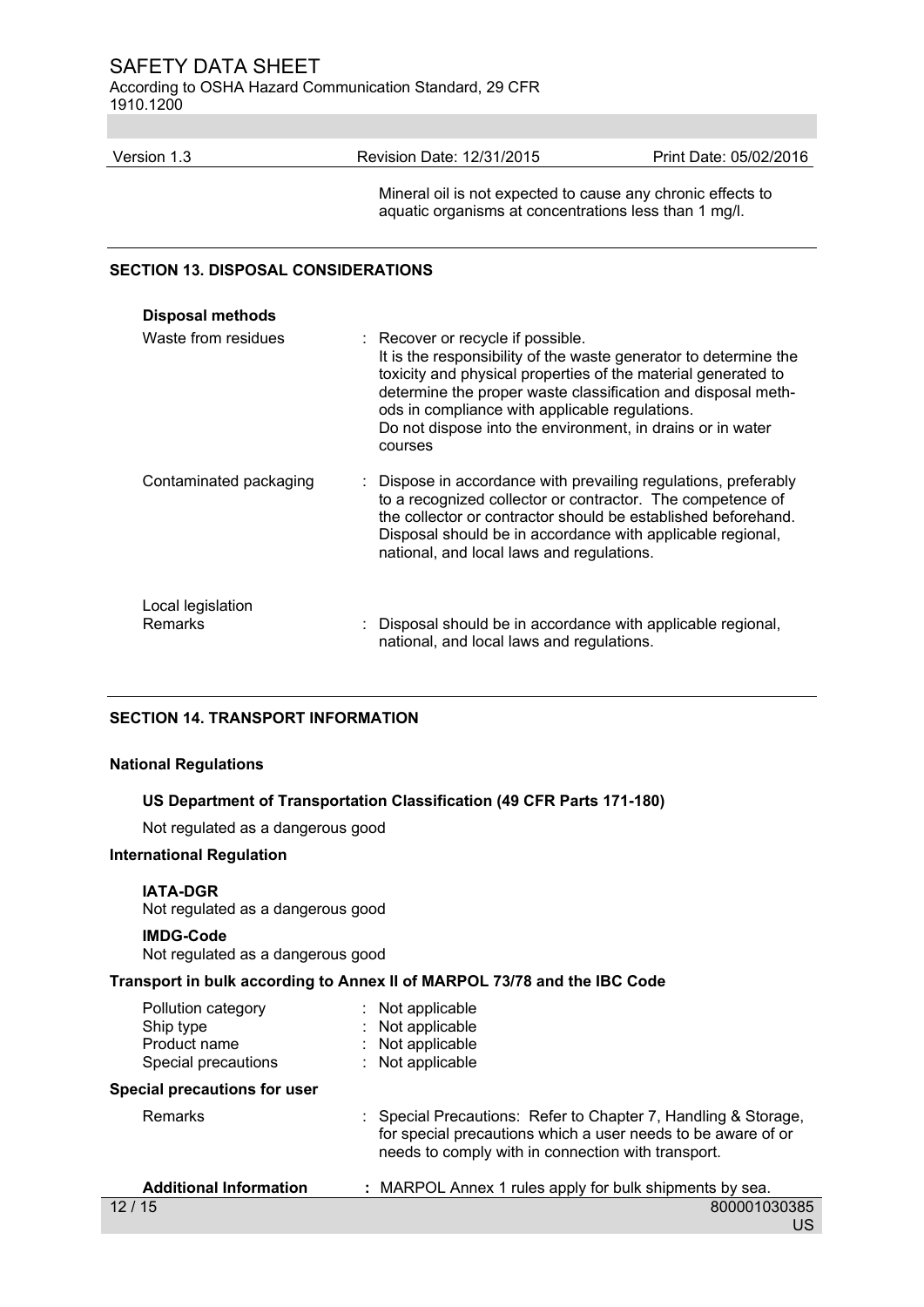According to OSHA Hazard Communication Standard, 29 CFR 1910.1200

| Version 1.3 | Revision Date: 12/31/2015 | Print Date: 05/02/2016 |
|-------------|---------------------------|------------------------|
|             |                           |                        |

 Mineral oil is not expected to cause any chronic effects to aquatic organisms at concentrations less than 1 mg/l.

# **SECTION 13. DISPOSAL CONSIDERATIONS**

| <b>Disposal methods</b>      |                                                                                                                                                                                                                                                                                                                                                                   |
|------------------------------|-------------------------------------------------------------------------------------------------------------------------------------------------------------------------------------------------------------------------------------------------------------------------------------------------------------------------------------------------------------------|
| Waste from residues          | : Recover or recycle if possible.<br>It is the responsibility of the waste generator to determine the<br>toxicity and physical properties of the material generated to<br>determine the proper waste classification and disposal meth-<br>ods in compliance with applicable regulations.<br>Do not dispose into the environment, in drains or in water<br>courses |
| Contaminated packaging       | : Dispose in accordance with prevailing regulations, preferably<br>to a recognized collector or contractor. The competence of<br>the collector or contractor should be established beforehand.<br>Disposal should be in accordance with applicable regional,<br>national, and local laws and regulations.                                                         |
| Local legislation<br>Remarks | : Disposal should be in accordance with applicable regional,<br>national, and local laws and regulations.                                                                                                                                                                                                                                                         |

# **SECTION 14. TRANSPORT INFORMATION**

#### **National Regulations**

# **US Department of Transportation Classification (49 CFR Parts 171-180)**

Not regulated as a dangerous good

# **International Regulation**

#### **IATA-DGR**

Not regulated as a dangerous good

#### **IMDG-Code**

Not regulated as a dangerous good

# **Transport in bulk according to Annex II of MARPOL 73/78 and the IBC Code**

| Pollution category  | : Not applicable |
|---------------------|------------------|
| Ship type           | : Not applicable |
| Product name        | : Not applicable |
| Special precautions | : Not applicable |

#### **Special precautions for user**

| Remarks |  |
|---------|--|
|         |  |

| Remarks | : Special Precautions: Refer to Chapter 7, Handling & Storage,<br>for special precautions which a user needs to be aware of or<br>needs to comply with in connection with transport. |
|---------|--------------------------------------------------------------------------------------------------------------------------------------------------------------------------------------|
|         |                                                                                                                                                                                      |

| <b>Additional Information</b> | MARPOL Annex 1 rules apply for bulk shipments by sea. |
|-------------------------------|-------------------------------------------------------|
| 12/15                         | 800001030385                                          |
|                               | .                                                     |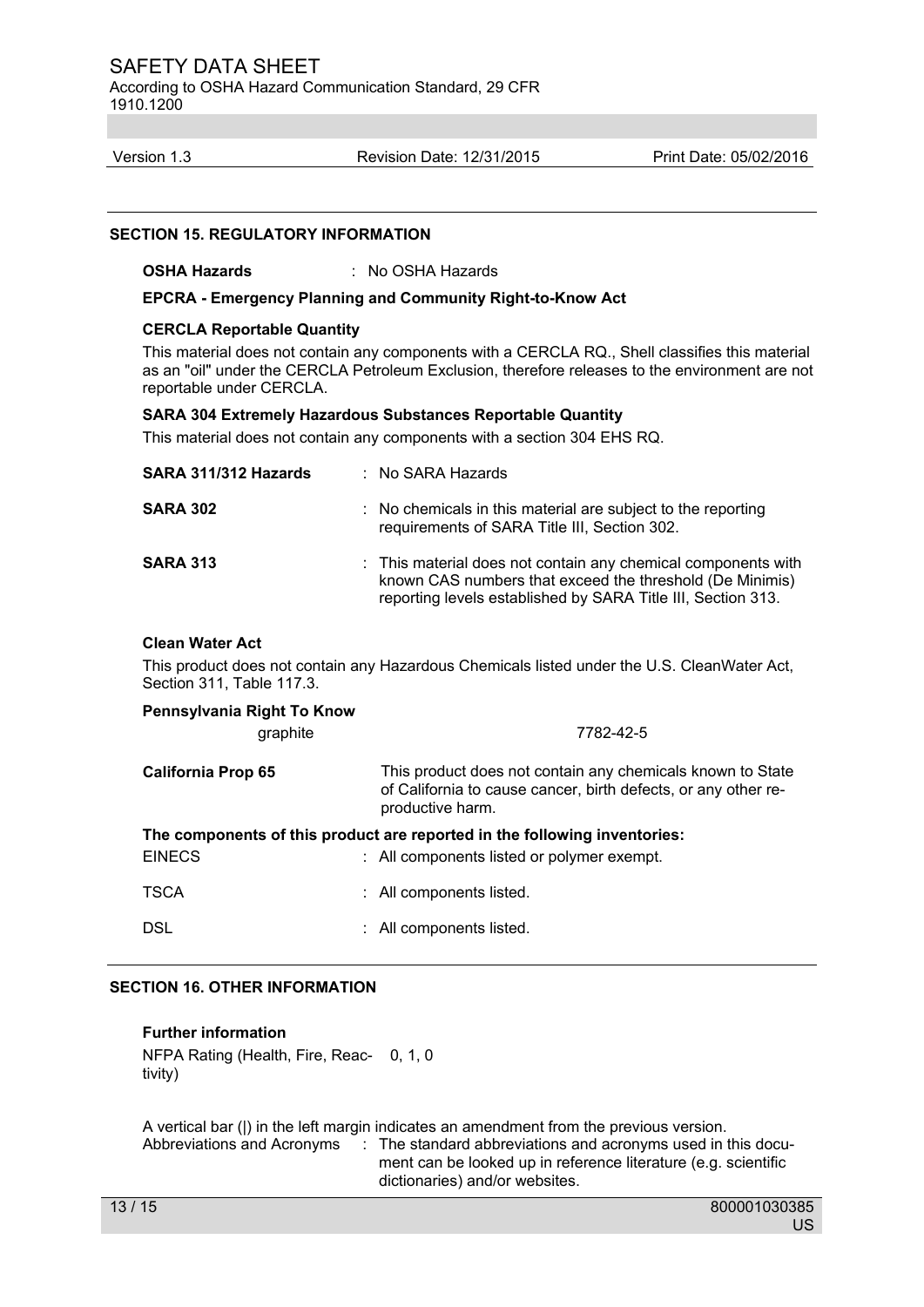According to OSHA Hazard Communication Standard, 29 CFR 1910.1200

Version 1.3 Revision Date: 12/31/2015 Print Date: 05/02/2016

#### **SECTION 15. REGULATORY INFORMATION**

**OSHA Hazards** : No OSHA Hazards

**EPCRA - Emergency Planning and Community Right-to-Know Act** 

#### **CERCLA Reportable Quantity**

This material does not contain any components with a CERCLA RQ., Shell classifies this material as an "oil" under the CERCLA Petroleum Exclusion, therefore releases to the environment are not reportable under CERCLA.

#### **SARA 304 Extremely Hazardous Substances Reportable Quantity**

This material does not contain any components with a section 304 EHS RQ.

| SARA 311/312 Hazards | $:$ No SARA Hazards                                                                                                                                                                       |
|----------------------|-------------------------------------------------------------------------------------------------------------------------------------------------------------------------------------------|
| <b>SARA 302</b>      | : No chemicals in this material are subject to the reporting<br>requirements of SARA Title III, Section 302.                                                                              |
| <b>SARA 313</b>      | : This material does not contain any chemical components with<br>known CAS numbers that exceed the threshold (De Minimis)<br>reporting levels established by SARA Title III, Section 313. |

# **Clean Water Act**

This product does not contain any Hazardous Chemicals listed under the U.S. CleanWater Act, Section 311, Table 117.3.

| Pennsylvania Right To Know                                                                                                               |                                                                                                                                                  |  |  |  |  |
|------------------------------------------------------------------------------------------------------------------------------------------|--------------------------------------------------------------------------------------------------------------------------------------------------|--|--|--|--|
| graphite                                                                                                                                 | 7782-42-5                                                                                                                                        |  |  |  |  |
| <b>California Prop 65</b>                                                                                                                | This product does not contain any chemicals known to State<br>of California to cause cancer, birth defects, or any other re-<br>productive harm. |  |  |  |  |
| The components of this product are reported in the following inventories:<br><b>EINECS</b><br>: All components listed or polymer exempt. |                                                                                                                                                  |  |  |  |  |
| <b>TSCA</b>                                                                                                                              | : All components listed.                                                                                                                         |  |  |  |  |
| <b>DSL</b>                                                                                                                               | : All components listed.                                                                                                                         |  |  |  |  |

# **SECTION 16. OTHER INFORMATION**

# **Further information**

NFPA Rating (Health, Fire, Reac-0, 1, 0 tivity)

A vertical bar (|) in the left margin indicates an amendment from the previous version. Abbreviations and Acronyms : The standard abbreviations and acronyms used in this document can be looked up in reference literature (e.g. scientific dictionaries) and/or websites.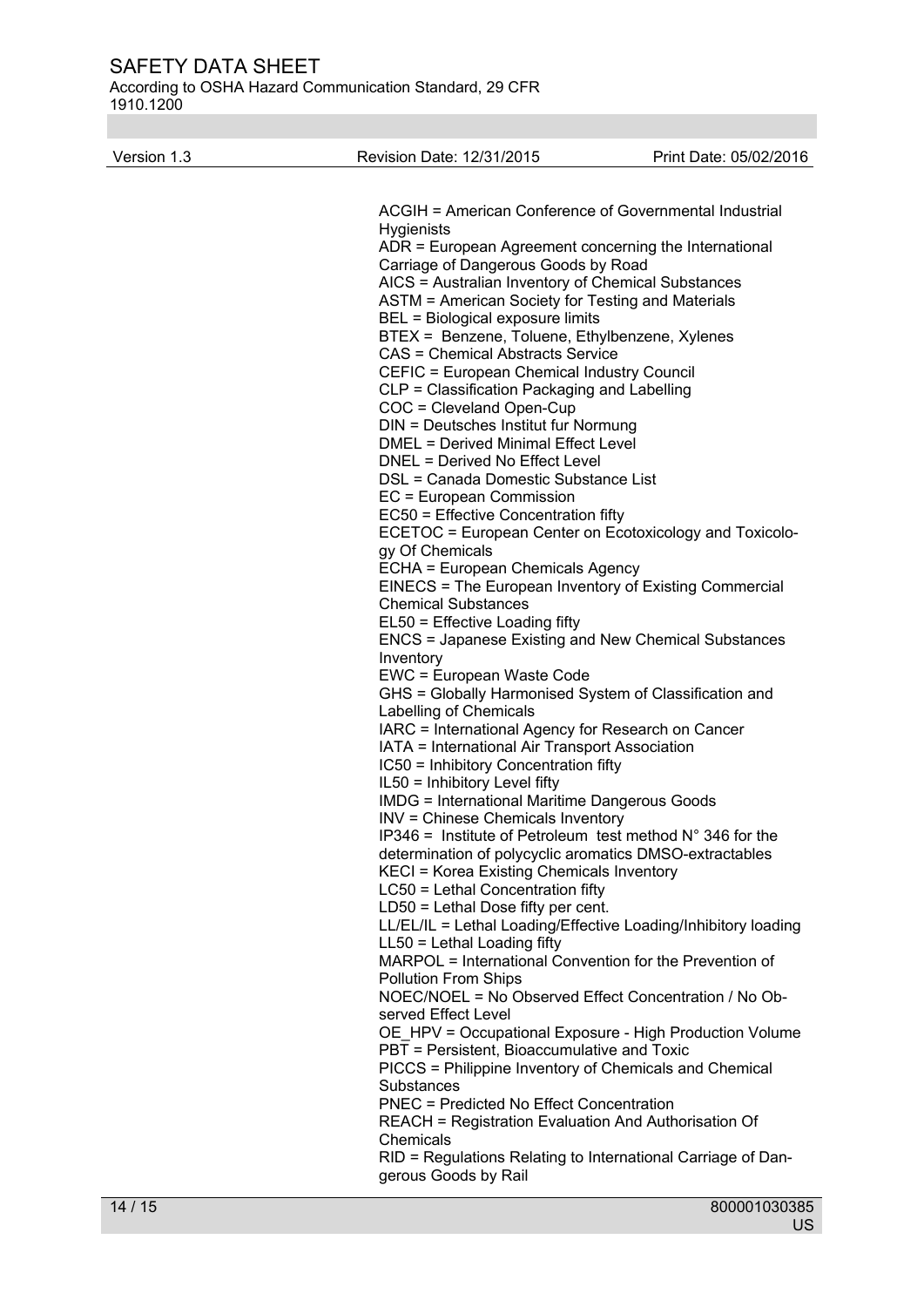According to OSHA Hazard Communication Standard, 29 CFR 1910.1200

| Version 1.3 | Revision Date: 12/31/2015                                                                            | Print Date: 05/02/2016 |
|-------------|------------------------------------------------------------------------------------------------------|------------------------|
|             |                                                                                                      |                        |
|             | ACGIH = American Conference of Governmental Industrial<br><b>Hygienists</b>                          |                        |
|             | ADR = European Agreement concerning the International                                                |                        |
|             | Carriage of Dangerous Goods by Road                                                                  |                        |
|             | AICS = Australian Inventory of Chemical Substances                                                   |                        |
|             | ASTM = American Society for Testing and Materials                                                    |                        |
|             | BEL = Biological exposure limits                                                                     |                        |
|             | BTEX = Benzene, Toluene, Ethylbenzene, Xylenes<br><b>CAS = Chemical Abstracts Service</b>            |                        |
|             | CEFIC = European Chemical Industry Council                                                           |                        |
|             | CLP = Classification Packaging and Labelling                                                         |                        |
|             | COC = Cleveland Open-Cup                                                                             |                        |
|             | DIN = Deutsches Institut fur Normung                                                                 |                        |
|             | <b>DMEL = Derived Minimal Effect Level</b>                                                           |                        |
|             | <b>DNEL = Derived No Effect Level</b><br>DSL = Canada Domestic Substance List                        |                        |
|             | EC = European Commission                                                                             |                        |
|             | EC50 = Effective Concentration fifty                                                                 |                        |
|             | ECETOC = European Center on Ecotoxicology and Toxicolo-                                              |                        |
|             | gy Of Chemicals                                                                                      |                        |
|             | ECHA = European Chemicals Agency                                                                     |                        |
|             | EINECS = The European Inventory of Existing Commercial                                               |                        |
|             | <b>Chemical Substances</b><br>EL50 = Effective Loading fifty                                         |                        |
|             | <b>ENCS = Japanese Existing and New Chemical Substances</b>                                          |                        |
|             | Inventory                                                                                            |                        |
|             | EWC = European Waste Code                                                                            |                        |
|             | GHS = Globally Harmonised System of Classification and                                               |                        |
|             | Labelling of Chemicals                                                                               |                        |
|             | IARC = International Agency for Research on Cancer<br>IATA = International Air Transport Association |                        |
|             | IC50 = Inhibitory Concentration fifty                                                                |                        |
|             | IL50 = Inhibitory Level fifty                                                                        |                        |
|             | <b>IMDG = International Maritime Dangerous Goods</b>                                                 |                        |
|             | <b>INV = Chinese Chemicals Inventory</b>                                                             |                        |
|             | IP346 = Institute of Petroleum test method $N^{\circ}$ 346 for the                                   |                        |
|             | determination of polycyclic aromatics DMSO-extractables<br>KECI = Korea Existing Chemicals Inventory |                        |
|             | LC50 = Lethal Concentration fifty                                                                    |                        |
|             | $LD50 = Lethal Does fifty per cent.$                                                                 |                        |
|             | LL/EL/IL = Lethal Loading/Effective Loading/Inhibitory loading                                       |                        |
|             | LL50 = Lethal Loading fifty                                                                          |                        |
|             | MARPOL = International Convention for the Prevention of                                              |                        |
|             | <b>Pollution From Ships</b><br>NOEC/NOEL = No Observed Effect Concentration / No Ob-                 |                        |
|             | served Effect Level                                                                                  |                        |
|             | OE_HPV = Occupational Exposure - High Production Volume                                              |                        |
|             | PBT = Persistent, Bioaccumulative and Toxic                                                          |                        |
|             | PICCS = Philippine Inventory of Chemicals and Chemical                                               |                        |
|             | Substances                                                                                           |                        |
|             | <b>PNEC = Predicted No Effect Concentration</b>                                                      |                        |
|             | <b>REACH = Registration Evaluation And Authorisation Of</b><br>Chemicals                             |                        |
|             | RID = Regulations Relating to International Carriage of Dan-                                         |                        |
|             | gerous Goods by Rail                                                                                 |                        |